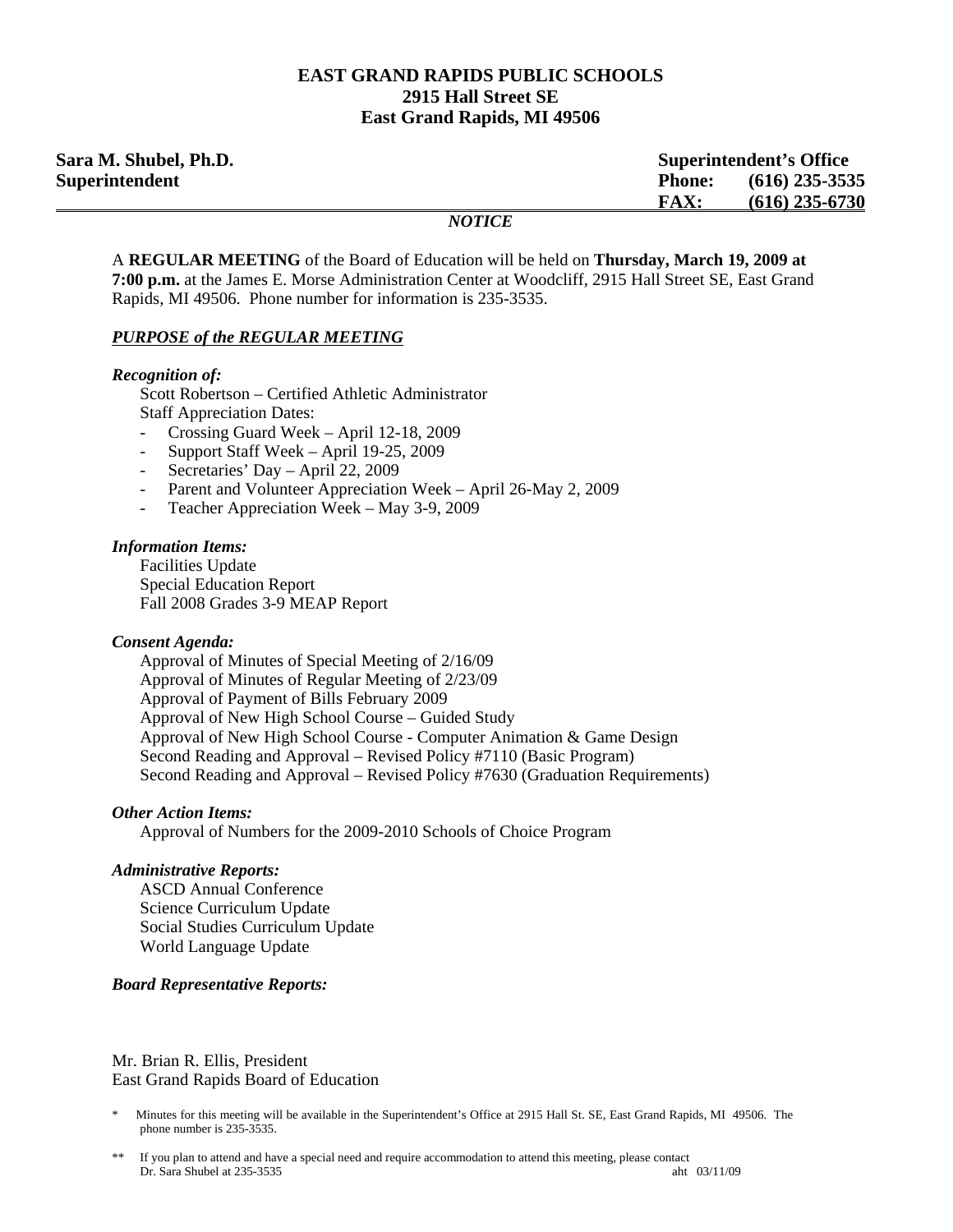### **EAST GRAND RAPIDS PUBLIC SCHOOLS 2915 Hall Street SE East Grand Rapids, MI 49506**

| Sara M. Shubel, Ph.D. |               | <b>Superintendent's Office</b> |  |
|-----------------------|---------------|--------------------------------|--|
| Superintendent        | <b>Phone:</b> | $(616)$ 235-3535               |  |
|                       | <b>FAX:</b>   | $(616)$ 235-6730               |  |
|                       | <i>NOTICE</i> |                                |  |

A **REGULAR MEETING** of the Board of Education will be held on **Thursday, March 19, 2009 at 7:00 p.m.** at the James E. Morse Administration Center at Woodcliff, 2915 Hall Street SE, East Grand Rapids, MI 49506. Phone number for information is 235-3535.

#### *PURPOSE of the REGULAR MEETING*

#### *Recognition of:*

Scott Robertson – Certified Athletic Administrator **Staff Appreciation Dates:** 

- Crossing Guard Week April 12-18, 2009
- Support Staff Week April 19-25, 2009
- Secretaries' Day April 22, 2009
- Parent and Volunteer Appreciation Week April 26-May 2, 2009
- Teacher Appreciation Week May 3-9, 2009

#### *Information Items:*

 Facilities Update Special Education Report Fall 2008 Grades 3-9 MEAP Report

#### *Consent Agenda:*

 Approval of Minutes of Special Meeting of 2/16/09 Approval of Minutes of Regular Meeting of 2/23/09 Approval of Payment of Bills February 2009 Approval of New High School Course – Guided Study Approval of New High School Course - Computer Animation & Game Design Second Reading and Approval – Revised Policy #7110 (Basic Program) Second Reading and Approval – Revised Policy #7630 (Graduation Requirements)

#### *Other Action Items:*

Approval of Numbers for the 2009-2010 Schools of Choice Program

#### *Administrative Reports:*

**ASCD** Annual Conference Science Curriculum Update Social Studies Curriculum Update World Language Update

### *Board Representative Reports:*

Mr. Brian R. Ellis, President East Grand Rapids Board of Education

<sup>\*</sup> Minutes for this meeting will be available in the Superintendent's Office at 2915 Hall St. SE, East Grand Rapids, MI 49506. The phone number is 235-3535.

If you plan to attend and have a special need and require accommodation to attend this meeting, please contact<br>Dr. Sara Shubel at 235-3535 Dr. Sara Shubel at 235-3535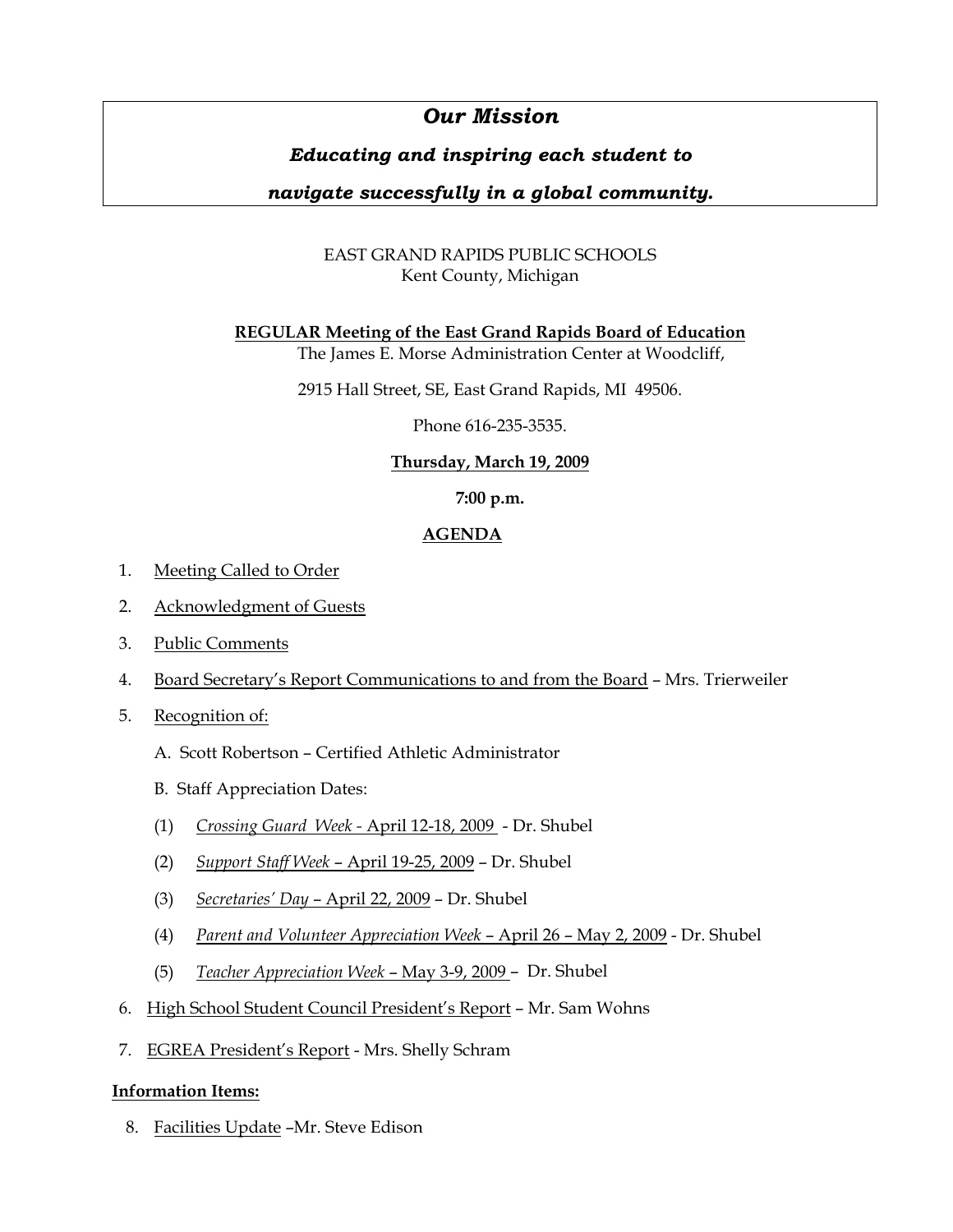# *Our Mission*

# *Educating and inspiring each student to*

# *navigate successfully in a global community.*

# EAST GRAND RAPIDS PUBLIC SCHOOLS Kent County, Michigan

## **REGULAR Meeting of the East Grand Rapids Board of Education**

The James E. Morse Administration Center at Woodcliff,

2915 Hall Street, SE, East Grand Rapids, MI 49506.

Phone 616-235-3535.

# **Thursday, March 19, 2009**

## **7:00 p.m.**

## **AGENDA**

- 1. Meeting Called to Order
- 2. Acknowledgment of Guests
- 3. Public Comments
- 4. Board Secretary's Report Communications to and from the Board Mrs. Trierweiler
- 5. Recognition of:
	- A. Scott Robertson Certified Athletic Administrator
	- B. Staff Appreciation Dates:
	- (1) *Crossing Guard Week -* April 12-18, 2009 Dr. Shubel
	- (2) *Support Staff Week*  April 19-25, 2009 Dr. Shubel
	- (3) *Secretaries' Day* April 22, 2009 Dr. Shubel
	- (4) *Parent and Volunteer Appreciation Week* April 26 May 2, 2009 Dr. Shubel
	- (5) *Teacher Appreciation Week* May 3-9, 2009 Dr. Shubel
- 6. High School Student Council President's Report Mr. Sam Wohns
- 7. EGREA President's Report Mrs. Shelly Schram

## **Information Items:**

8. Facilities Update –Mr. Steve Edison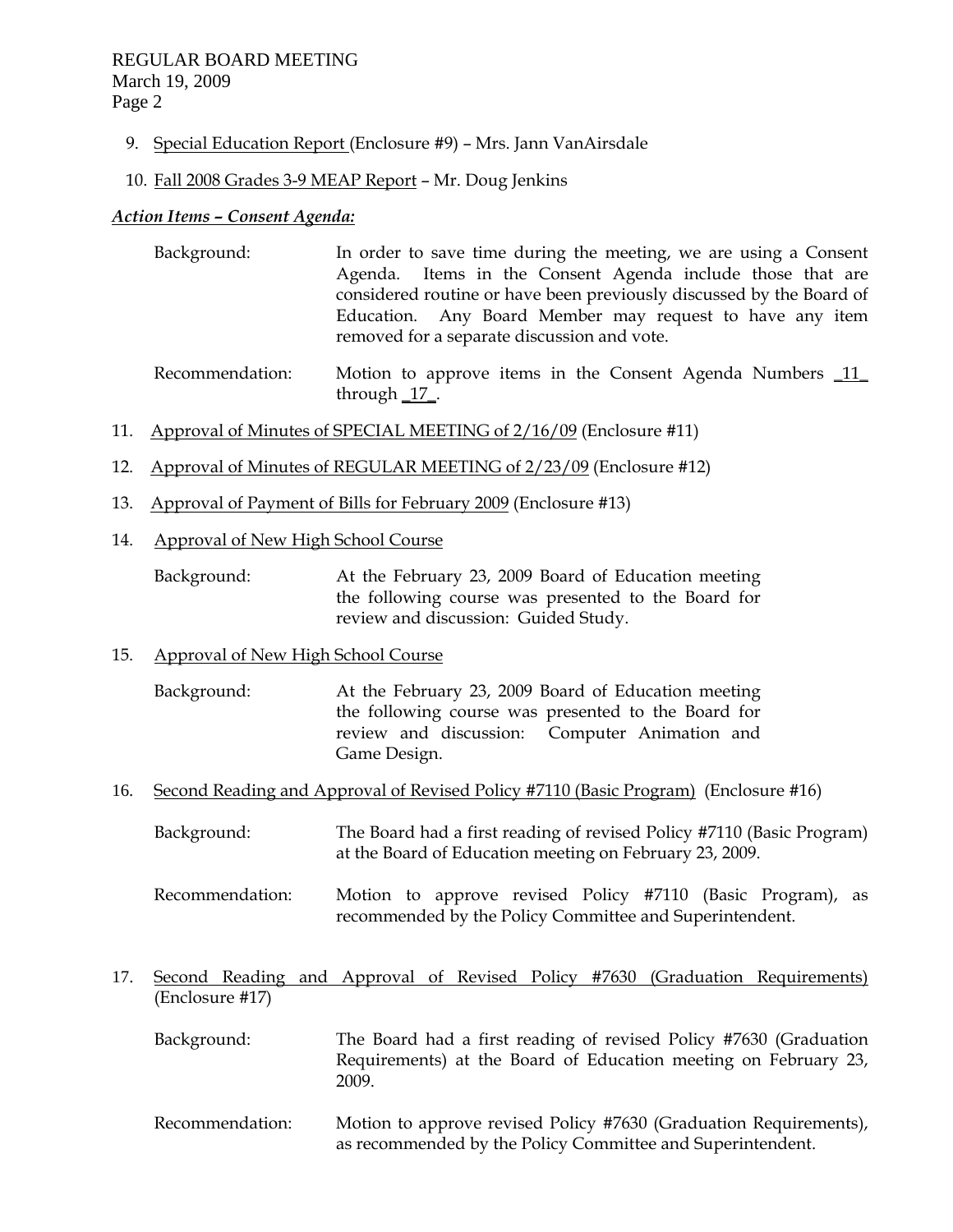9. Special Education Report (Enclosure #9) – Mrs. Jann VanAirsdale

### 10. Fall 2008 Grades 3-9 MEAP Report – Mr. Doug Jenkins

### *Action Items – Consent Agenda:*

- Background: In order to save time during the meeting, we are using a Consent Agenda. Items in the Consent Agenda include those that are considered routine or have been previously discussed by the Board of Education. Any Board Member may request to have any item removed for a separate discussion and vote.
- Recommendation: Motion to approve items in the Consent Agenda Numbers \_11\_ through \_17\_.
- 11. Approval of Minutes of SPECIAL MEETING of 2/16/09 (Enclosure #11)
- 12. Approval of Minutes of REGULAR MEETING of 2/23/09 (Enclosure #12)
- 13. Approval of Payment of Bills for February 2009 (Enclosure #13)
- 14. Approval of New High School Course

 Background: At the February 23, 2009 Board of Education meeting the following course was presented to the Board for review and discussion: Guided Study.

## 15. Approval of New High School Course

 Background: At the February 23, 2009 Board of Education meeting the following course was presented to the Board for review and discussion: Computer Animation and Game Design.

- 16. Second Reading and Approval of Revised Policy #7110 (Basic Program) (Enclosure #16)
	- Background: The Board had a first reading of revised Policy #7110 (Basic Program) at the Board of Education meeting on February 23, 2009.
	- Recommendation: Motion to approve revised Policy #7110 (Basic Program), as recommended by the Policy Committee and Superintendent.
- 17. Second Reading and Approval of Revised Policy #7630 (Graduation Requirements) (Enclosure #17)
	- Background: The Board had a first reading of revised Policy #7630 (Graduation Requirements) at the Board of Education meeting on February 23, 2009.
	- Recommendation: Motion to approve revised Policy #7630 (Graduation Requirements), as recommended by the Policy Committee and Superintendent.